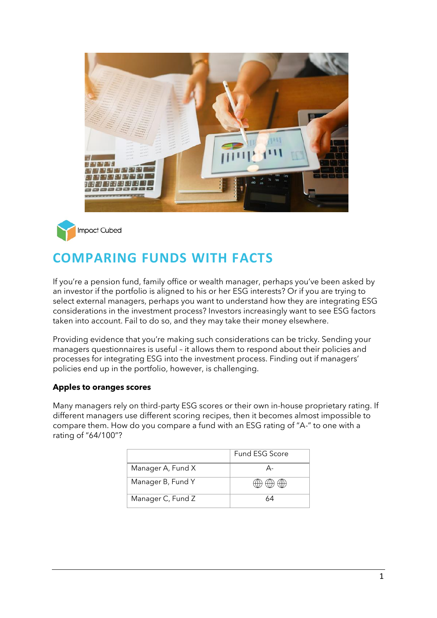



# **COMPARING FUNDS WITH FACTS**

If you're a pension fund, family office or wealth manager, perhaps you've been asked by an investor if the portfolio is aligned to his or her ESG interests? Or if you are trying to select external managers, perhaps you want to understand how they are integrating ESG considerations in the investment process? Investors increasingly want to see ESG factors taken into account. Fail to do so, and they may take their money elsewhere.

Providing evidence that you're making such considerations can be tricky. Sending your managers questionnaires is useful – it allows them to respond about their policies and processes for integrating ESG into the investment process. Finding out if managers' policies end up in the portfolio, however, is challenging.

# **Apples to oranges scores**

Many managers rely on third-party ESG scores or their own in-house proprietary rating. If different managers use different scoring recipes, then it becomes almost impossible to compare them. How do you compare a fund with an ESG rating of "A-" to one with a rating of "64/100"?

|                   | Fund ESG Score |
|-------------------|----------------|
| Manager A, Fund X |                |
| Manager B, Fund Y |                |
| Manager C, Fund Z |                |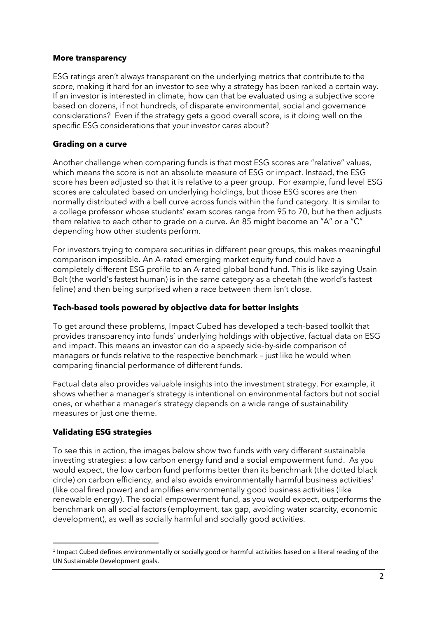### **More transparency**

ESG ratings aren't always transparent on the underlying metrics that contribute to the score, making it hard for an investor to see why a strategy has been ranked a certain way. If an investor is interested in climate, how can that be evaluated using a subjective score based on dozens, if not hundreds, of disparate environmental, social and governance considerations? Even if the strategy gets a good overall score, is it doing well on the specific ESG considerations that your investor cares about?

## **Grading on a curve**

Another challenge when comparing funds is that most ESG scores are "relative" values, which means the score is not an absolute measure of ESG or impact. Instead, the ESG score has been adjusted so that it is relative to a peer group. For example, fund level ESG scores are calculated based on underlying holdings, but those ESG scores are then normally distributed with a bell curve across funds within the fund category. It is similar to a college professor whose students' exam scores range from 95 to 70, but he then adjusts them relative to each other to grade on a curve. An 85 might become an "A" or a "C" depending how other students perform.

For investors trying to compare securities in different peer groups, this makes meaningful comparison impossible. An A-rated emerging market equity fund could have a completely different ESG profile to an A-rated global bond fund. This is like saying Usain Bolt (the world's fastest human) is in the same category as a cheetah (the world's fastest feline) and then being surprised when a race between them isn't close.

## **Tech-based tools powered by objective data for better insights**

To get around these problems, Impact Cubed has developed a tech-based toolkit that provides transparency into funds' underlying holdings with objective, factual data on ESG and impact. This means an investor can do a speedy side-by-side comparison of managers or funds relative to the respective benchmark – just like he would when comparing financial performance of different funds.

Factual data also provides valuable insights into the investment strategy. For example, it shows whether a manager's strategy is intentional on environmental factors but not social ones, or whether a manager's strategy depends on a wide range of sustainability measures or just one theme.

# **Validating ESG strategies**

To see this in action, the images below show two funds with very different sustainable investing strategies: a low carbon energy fund and a social empowerment fund. As you would expect, the low carbon fund performs better than its benchmark (the dotted black circle) on carbon efficiency, and also avoids environmentally harmful business activities<sup>1</sup> (like coal fired power) and amplifies environmentally good business activities (like renewable energy). The social empowerment fund, as you would expect, outperforms the benchmark on all social factors (employment, tax gap, avoiding water scarcity, economic development), as well as socially harmful and socially good activities.

<sup>&</sup>lt;sup>1</sup> Impact Cubed defines environmentally or socially good or harmful activities based on a literal reading of the UN Sustainable Development goals.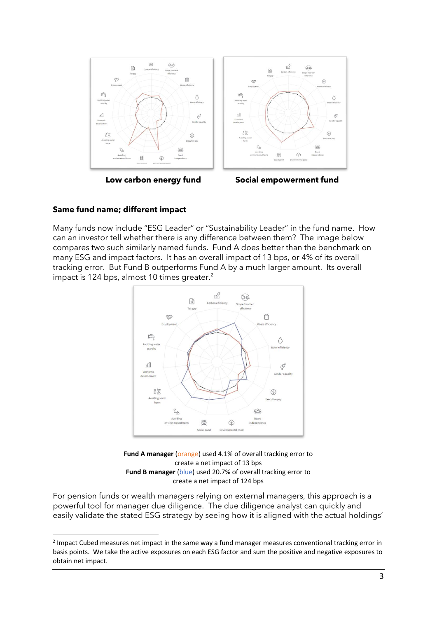



 **Low carbon energy fund Social empowerment fund**

### **Same fund name; different impact**

Many funds now include "ESG Leader" or "Sustainability Leader" in the fund name. How can an investor tell whether there is any difference between them? The image below compares two such similarly named funds. Fund A does better than the benchmark on many ESG and impact factors. It has an overall impact of 13 bps, or 4% of its overall tracking error. But Fund B outperforms Fund A by a much larger amount. Its overall impact is 124 bps, almost 10 times greater. 2



**Fund A manager** (orange) used 4.1% of overall tracking error to create a net impact of 13 bps **Fund B manager** (blue) used 20.7% of overall tracking error to create a net impact of 124 bps

For pension funds or wealth managers relying on external managers, this approach is a powerful tool for manager due diligence. The due diligence analyst can quickly and easily validate the stated ESG strategy by seeing how it is aligned with the actual holdings'

<sup>&</sup>lt;sup>2</sup> Impact Cubed measures net impact in the same way a fund manager measures conventional tracking error in basis points. We take the active exposures on each ESG factor and sum the positive and negative exposures to obtain net impact.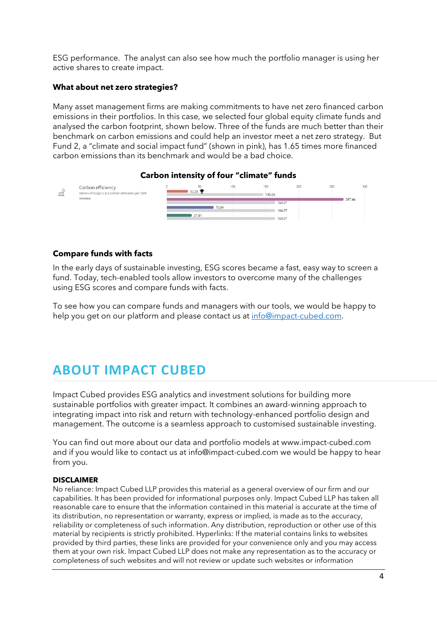ESG performance. The analyst can also see how much the portfolio manager is using her active shares to create impact.

### **What about net zero strategies?**

Many asset management firms are making commitments to have net zero financed carbon emissions in their portfolios. In this case, we selected four global equity climate funds and analysed the carbon footprint, shown below. Three of the funds are much better than their benchmark on carbon emissions and could help an investor meet a net zero strategy. But Fund 2, a "climate and social impact fund" (shown in pink), has 1.65 times more financed carbon emissions than its benchmark and would be a bad choice.



#### **Carbon intensity of four "climate" funds**

#### **Compare funds with facts**

In the early days of sustainable investing, ESG scores became a fast, easy way to screen a fund. Today, tech-enabled tools allow investors to overcome many of the challenges using ESG scores and compare funds with facts.

To see how you can compare funds and managers with our tools, we would be happy to help you get on our platform and please contact us at [info@impact-cubed.com.](mailto:info@impact-cubed.com)

# **ABOUT IMPACT CUBED**

Impact Cubed provides ESG analytics and investment solutions for building more sustainable portfolios with greater impact. It combines an award-winning approach to integrating impact into risk and return with technology-enhanced portfolio design and management. The outcome is a seamless approach to customised sustainable investing.

You can find out more about our data and portfolio models at [www.impact-cubed.com](http://www.impact-cubed.com/) and if you would like to contact us at [info@impact-cubed.com](mailto:info@impact-cubed.com) we would be happy to hear from you.

#### **DISCLAIMER**

No reliance: Impact Cubed LLP provides this material as a general overview of our firm and our capabilities. It has been provided for informational purposes only. Impact Cubed LLP has taken all reasonable care to ensure that the information contained in this material is accurate at the time of its distribution, no representation or warranty, express or implied, is made as to the accuracy, reliability or completeness of such information. Any distribution, reproduction or other use of this material by recipients is strictly prohibited. Hyperlinks: If the material contains links to websites provided by third parties, these links are provided for your convenience only and you may access them at your own risk. Impact Cubed LLP does not make any representation as to the accuracy or completeness of such websites and will not review or update such websites or information